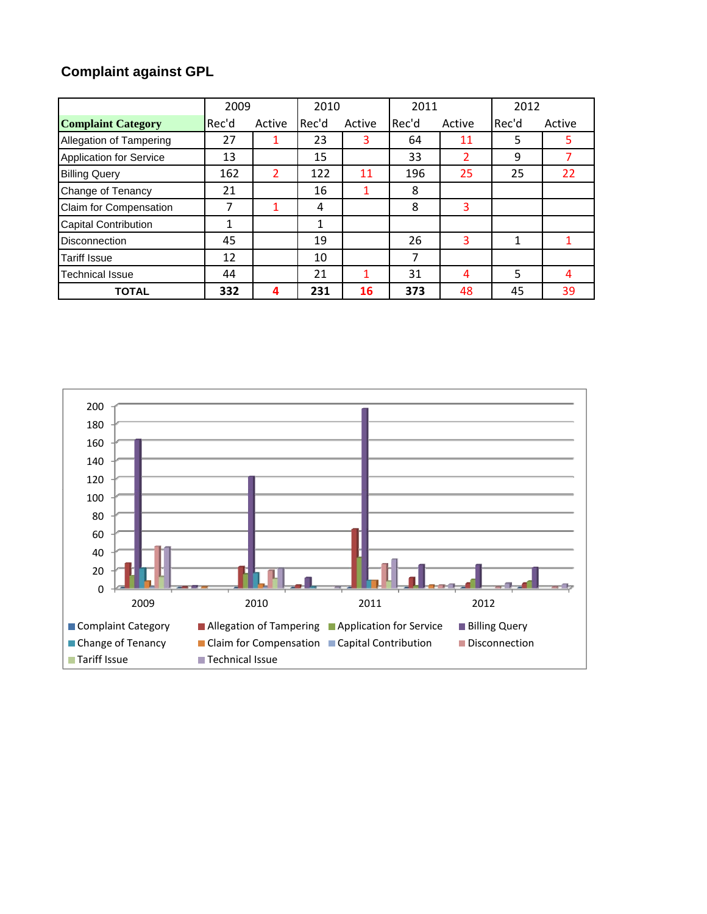# **Complaint against GPL**

|                                | 2009  |        | 2010  |        | 2011  |        | 2012         |        |
|--------------------------------|-------|--------|-------|--------|-------|--------|--------------|--------|
| <b>Complaint Category</b>      | Rec'd | Active | Rec'd | Active | Rec'd | Active | Rec'd        | Active |
| Allegation of Tampering        | 27    |        | 23    | 3      | 64    | 11     | 5            |        |
| <b>Application for Service</b> | 13    |        | 15    |        | 33    | 2      | 9            |        |
| <b>Billing Query</b>           | 162   | 2      | 122   | 11     | 196   | 25     | 25           | 22     |
| Change of Tenancy              | 21    |        | 16    |        | 8     |        |              |        |
| Claim for Compensation         | 7     | 1      | 4     |        | 8     | 3      |              |        |
| <b>Capital Contribution</b>    | 1     |        | 1     |        |       |        |              |        |
| <b>Disconnection</b>           | 45    |        | 19    |        | 26    | 3      | $\mathbf{1}$ |        |
| <b>Tariff Issue</b>            | 12    |        | 10    |        | 7     |        |              |        |
| Technical Issue                | 44    |        | 21    | 1      | 31    | 4      | 5            | 4      |
| <b>TOTAL</b>                   | 332   | 4      | 231   | 16     | 373   | 48     | 45           | 39     |

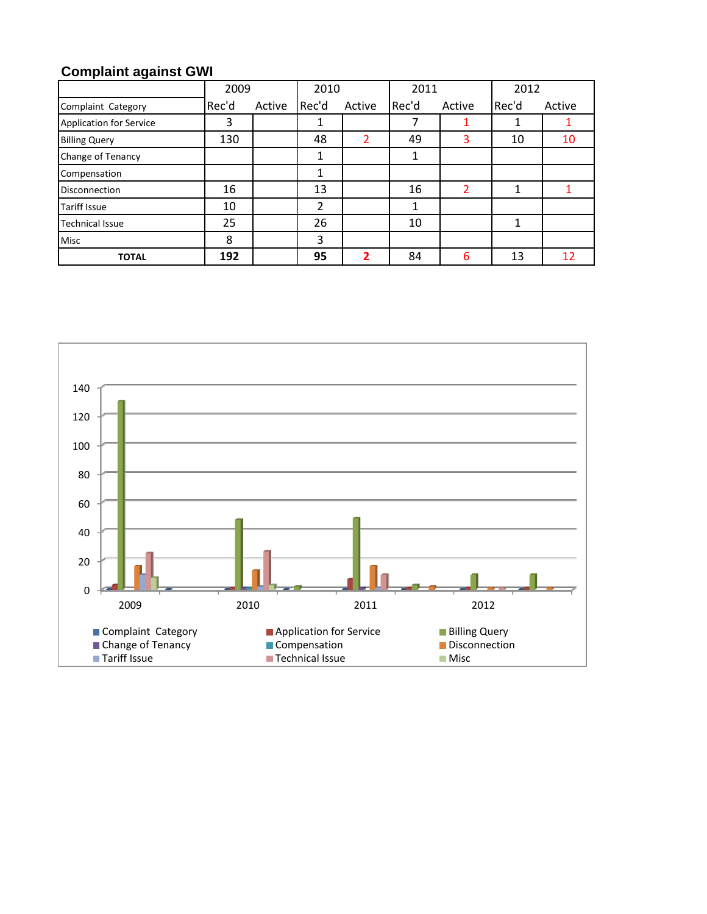# **Complaint against GWI**

|                                | 2009  | 2010   |       | 2011   |       | 2012   |       |        |
|--------------------------------|-------|--------|-------|--------|-------|--------|-------|--------|
| Complaint Category             | Rec'd | Active | Rec'd | Active | Rec'd | Active | Rec'd | Active |
| <b>Application for Service</b> | 3     |        | 1     |        | 7     |        | 1     |        |
| <b>Billing Query</b>           | 130   |        | 48    |        | 49    | 3      | 10    | 10     |
| Change of Tenancy              |       |        |       |        |       |        |       |        |
| Compensation                   |       |        | 1     |        |       |        |       |        |
| <b>Disconnection</b>           | 16    |        | 13    |        | 16    | 2      | 1     |        |
| <b>Tariff Issue</b>            | 10    |        | 2     |        |       |        |       |        |
| <b>Technical Issue</b>         | 25    |        | 26    |        | 10    |        | 1     |        |
| <b>Misc</b>                    | 8     |        | 3     |        |       |        |       |        |
| <b>TOTAL</b>                   | 192   |        | 95    |        | 84    | 6      | 13    | 12     |

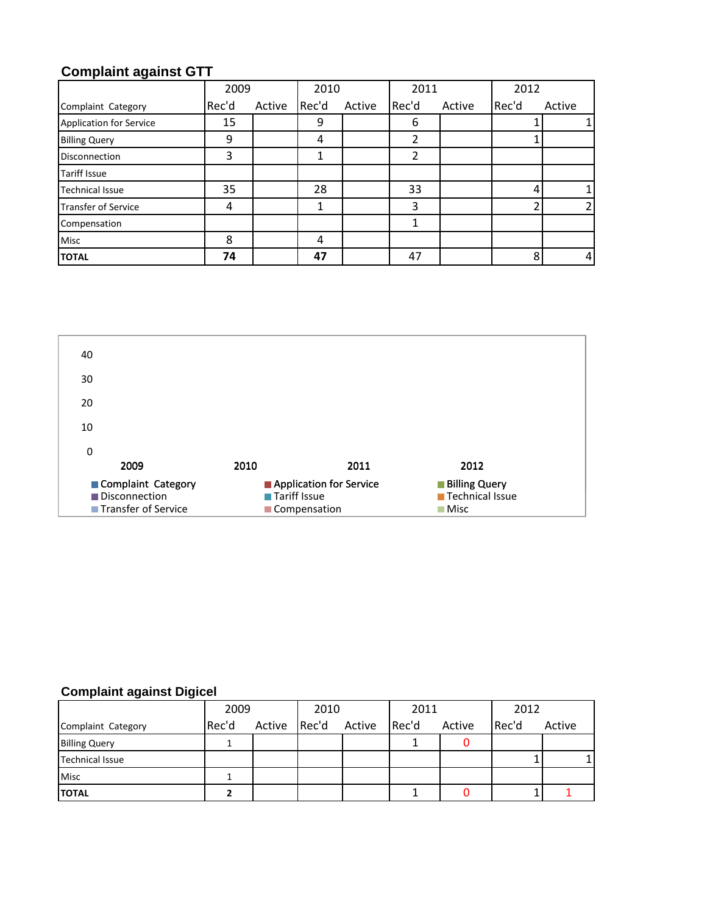## **Complaint against GTT**

|                                | 2009  |        | 2010  |        | 2011  |        | 2012  |        |
|--------------------------------|-------|--------|-------|--------|-------|--------|-------|--------|
| Complaint Category             | Rec'd | Active | Rec'd | Active | Rec'd | Active | Rec'd | Active |
| <b>Application for Service</b> | 15    |        | 9     |        | 6     |        |       |        |
| <b>Billing Query</b>           | 9     |        | 4     |        | 2     |        |       |        |
| <b>Disconnection</b>           | 3     |        | 1     |        | 2     |        |       |        |
| <b>Tariff Issue</b>            |       |        |       |        |       |        |       |        |
| <b>Technical Issue</b>         | 35    |        | 28    |        | 33    |        | 4     |        |
| <b>Transfer of Service</b>     | 4     |        | 1     |        | 3     |        |       |        |
| Compensation                   |       |        |       |        |       |        |       |        |
| <b>Misc</b>                    | 8     |        | 4     |        |       |        |       |        |
| <b>TOTAL</b>                   | 74    |        | 47    |        | 47    |        | 8     |        |



### **Complaint against Digicel**

|                        | 2009  |        | 2010  |        | 2011  |        | 2012  |        |
|------------------------|-------|--------|-------|--------|-------|--------|-------|--------|
| Complaint Category     | Rec'd | Active | Rec'd | Active | Rec'd | Active | Rec'd | Active |
| <b>Billing Query</b>   |       |        |       |        |       |        |       |        |
| <b>Technical Issue</b> |       |        |       |        |       |        |       |        |
| <b>Misc</b>            |       |        |       |        |       |        |       |        |
| <b>TOTAL</b>           |       |        |       |        |       |        |       |        |